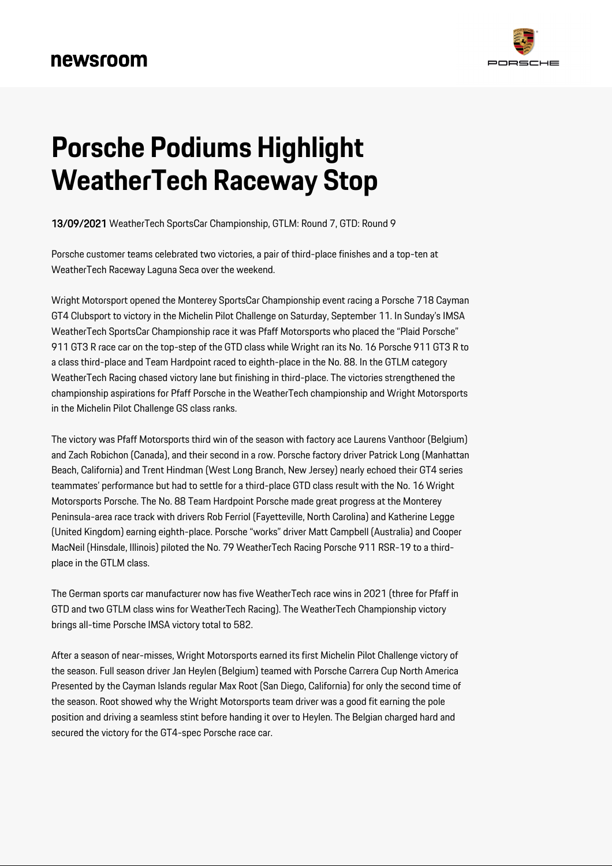

# **Porsche Podiums Highlight WeatherTech Raceway Stop**

13/09/2021 WeatherTech SportsCar Championship, GTLM: Round 7, GTD: Round 9

Porsche customer teams celebrated two victories, a pair of third-place finishes and a top-ten at WeatherTech Raceway Laguna Seca over the weekend.

Wright Motorsport opened the Monterey SportsCar Championship event racing a Porsche 718 Cayman GT4 Clubsport to victory in the Michelin Pilot Challenge on Saturday, September 11. In Sunday's IMSA WeatherTech SportsCar Championship race it was Pfaff Motorsports who placed the "Plaid Porsche" 911 GT3 R race car on the top-step of the GTD class while Wright ran its No. 16 Porsche 911 GT3 R to a class third-place and Team Hardpoint raced to eighth-place in the No. 88. In the GTLM category WeatherTech Racing chased victory lane but finishing in third-place. The victories strengthened the championship aspirations for Pfaff Porsche in the WeatherTech championship and Wright Motorsports in the Michelin Pilot Challenge GS class ranks.

The victory was Pfaff Motorsports third win of the season with factory ace Laurens Vanthoor (Belgium) and Zach Robichon (Canada), and their second in a row. Porsche factory driver Patrick Long (Manhattan Beach, California) and Trent Hindman (West Long Branch, New Jersey) nearly echoed their GT4 series teammates' performance but had to settle for a third-place GTD class result with the No. 16 Wright Motorsports Porsche. The No. 88 Team Hardpoint Porsche made great progress at the Monterey Peninsula-area race track with drivers Rob Ferriol (Fayetteville, North Carolina) and Katherine Legge (United Kingdom) earning eighth-place. Porsche "works" driver Matt Campbell (Australia) and Cooper MacNeil (Hinsdale, Illinois) piloted the No. 79 WeatherTech Racing Porsche 911 RSR-19 to a thirdplace in the GTLM class.

The German sports car manufacturer now has five WeatherTech race wins in 2021 (three for Pfaff in GTD and two GTLM class wins for WeatherTech Racing). The WeatherTech Championship victory brings all-time Porsche IMSA victory total to 582.

After a season of near-misses, Wright Motorsports earned its first Michelin Pilot Challenge victory of the season. Full season driver Jan Heylen (Belgium) teamed with Porsche Carrera Cup North America Presented by the Cayman Islands regular Max Root (San Diego, California) for only the second time of the season. Root showed why the Wright Motorsports team driver was a good fit earning the pole position and driving a seamless stint before handing it over to Heylen. The Belgian charged hard and secured the victory for the GT4-spec Porsche race car.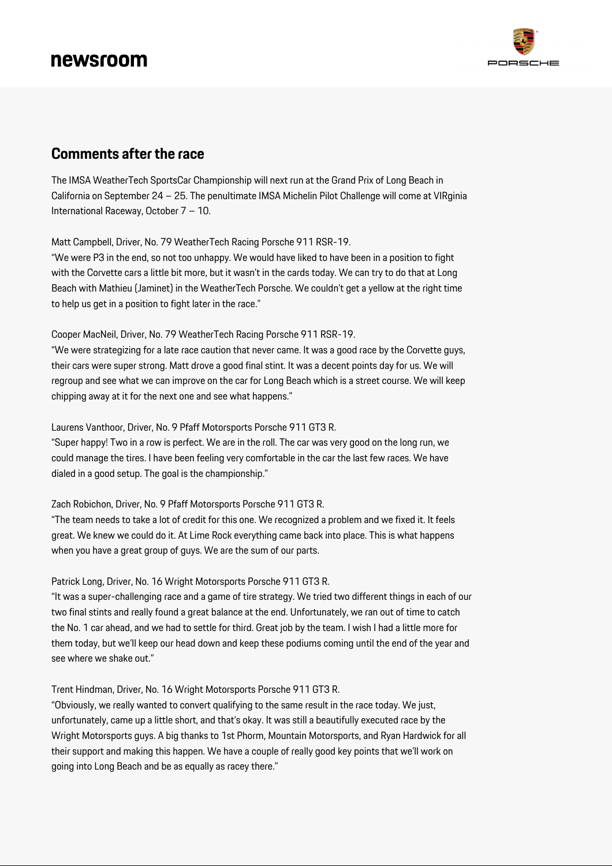

### **Comments after the race**

The IMSA WeatherTech SportsCar Championship will next run at the Grand Prix of Long Beach in California on September 24 – 25. The penultimate IMSA Michelin Pilot Challenge will come at VIRginia International Raceway, October 7 – 10.

Matt Campbell, Driver, No. 79 WeatherTech Racing Porsche 911 RSR-19.

"We were P3 in the end, so not too unhappy. We would have liked to have been in a position to fight with the Corvette cars a little bit more, but it wasn't in the cards today. We can try to do that at Long Beach with Mathieu (Jaminet) in the WeatherTech Porsche. We couldn't get a yellow at the right time to help us get in a position to fight later in the race."

#### Cooper MacNeil, Driver, No. 79 WeatherTech Racing Porsche 911 RSR-19.

"We were strategizing for a late race caution that never came. It was a good race by the Corvette guys, their cars were super strong. Matt drove a good final stint. It was a decent points day for us. We will regroup and see what we can improve on the car for Long Beach which is a street course. We will keep chipping away at it for the next one and see what happens."

Laurens Vanthoor, Driver, No. 9 Pfaff Motorsports Porsche 911 GT3 R.

"Super happy! Two in a row is perfect. We are in the roll. The car was very good on the long run, we could manage the tires. I have been feeling very comfortable in the car the last few races. We have dialed in a good setup. The goal is the championship."

#### Zach Robichon, Driver, No. 9 Pfaff Motorsports Porsche 911 GT3 R.

"The team needs to take a lot of credit for this one. We recognized a problem and we fixed it. It feels great. We knew we could do it. At Lime Rock everything came back into place. This is what happens when you have a great group of guys. We are the sum of our parts.

#### Patrick Long, Driver, No. 16 Wright Motorsports Porsche 911 GT3 R.

"It was a super-challenging race and a game of tire strategy. We tried two different things in each of our two final stints and really found a great balance at the end. Unfortunately, we ran out of time to catch the No. 1 car ahead, and we had to settle for third. Great job by the team. I wish I had a little more for them today, but we'll keep our head down and keep these podiums coming until the end of the year and see where we shake out."

#### Trent Hindman, Driver, No. 16 Wright Motorsports Porsche 911 GT3 R.

"Obviously, we really wanted to convert qualifying to the same result in the race today. We just, unfortunately, came up a little short, and that's okay. It was still a beautifully executed race by the Wright Motorsports guys. A big thanks to 1st Phorm, Mountain Motorsports, and Ryan Hardwick for all their support and making this happen. We have a couple of really good key points that we'll work on going into Long Beach and be as equally as racey there."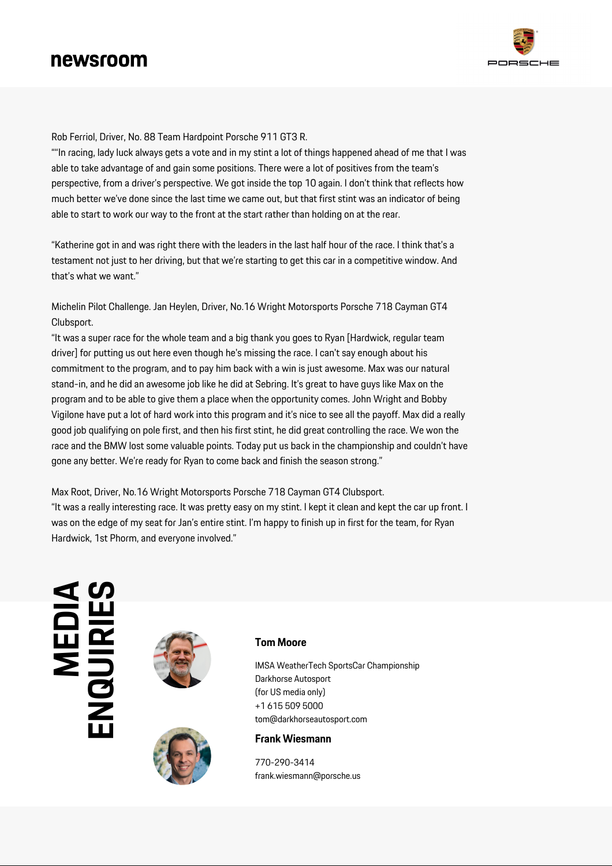

Rob Ferriol, Driver, No. 88 Team Hardpoint Porsche 911 GT3 R.

""In racing, lady luck always gets a vote and in my stint a lot of things happened ahead of me that I was able to take advantage of and gain some positions. There were a lot of positives from the team's perspective, from a driver's perspective. We got inside the top 10 again. I don't think that reflects how much better we've done since the last time we came out, but that first stint was an indicator of being able to start to work our way to the front at the start rather than holding on at the rear.

"Katherine got in and was right there with the leaders in the last half hour of the race. I think that's a testament not just to her driving, but that we're starting to get this car in a competitive window. And that's what we want."

Michelin Pilot Challenge. Jan Heylen, Driver, No.16 Wright Motorsports Porsche 718 Cayman GT4 Clubsport.

"It was a super race for the whole team and a big thank you goes to Ryan [Hardwick, regular team driver] for putting us out here even though he's missing the race. I can't say enough about his commitment to the program, and to pay him back with a win is just awesome. Max was our natural stand-in, and he did an awesome job like he did at Sebring. It's great to have guys like Max on the program and to be able to give them a place when the opportunity comes. John Wright and Bobby Vigilone have put a lot of hard work into this program and it's nice to see all the payoff. Max did a really good job qualifying on pole first, and then his first stint, he did great controlling the race. We won the race and the BMW lost some valuable points. Today put us back in the championship and couldn't have gone any better. We're ready for Ryan to come back and finish the season strong."

Max Root, Driver, No.16 Wright Motorsports Porsche 718 Cayman GT4 Clubsport. "It was a really interesting race. It was pretty easy on my stint. I kept it clean and kept the car up front. I was on the edge of my seat for Jan's entire stint. I'm happy to finish up in first for the team, for Ryan Hardwick, 1st Phorm, and everyone involved."

# **VQUIRI**





#### **Tom Moore**

IMSA WeatherTech SportsCar Championship Darkhorse Autosport (for US media only) +1 615 509 5000 tom@darkhorseautosport.com

#### **Frank Wiesmann**

770-290-3414 frank.wiesmann@porsche.us